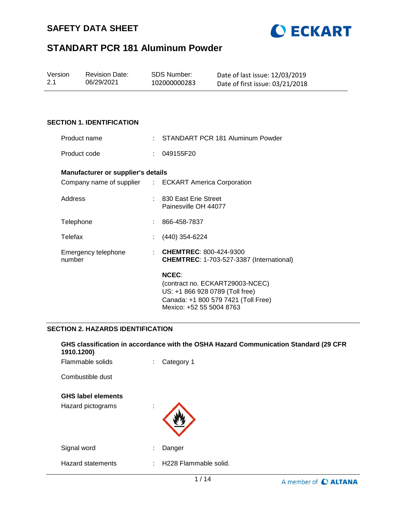



| Version | <b>Revision Date:</b> | SDS Number:  | Date of last issue: 12/03/2019  |
|---------|-----------------------|--------------|---------------------------------|
| 2.1     | 06/29/2021            | 102000000283 | Date of first issue: 03/21/2018 |

#### **SECTION 1. IDENTIFICATION**

| Product name                       |    | : STANDART PCR 181 Aluminum Powder                                                                                        |
|------------------------------------|----|---------------------------------------------------------------------------------------------------------------------------|
| Product code                       | t. | 049155F20                                                                                                                 |
| Manufacturer or supplier's details |    |                                                                                                                           |
|                                    |    | Company name of supplier : ECKART America Corporation                                                                     |
| Address                            |    | : 830 East Erie Street<br>Painesville OH 44077                                                                            |
| Telephone                          |    | 866-458-7837                                                                                                              |
| Telefax                            |    | $(440)$ 354-6224                                                                                                          |
| Emergency telephone<br>number      |    | : CHEMTREC: $800-424-9300$<br><b>CHEMTREC:</b> 1-703-527-3387 (International)                                             |
|                                    |    | <b>NCEC:</b><br>(contract no. ECKART29003-NCEC)<br>US: +1 866 928 0789 (Toll free)<br>Canada: +1 800 579 7421 (Toll Free) |

#### **SECTION 2. HAZARDS IDENTIFICATION**

| 1910.1200)                | GHS classification in accordance with the OSHA Hazard Communication Standard (29 CFR |  |
|---------------------------|--------------------------------------------------------------------------------------|--|
| Flammable solids          | Category 1                                                                           |  |
| Combustible dust          |                                                                                      |  |
| <b>GHS label elements</b> |                                                                                      |  |
| Hazard pictograms         | ٠<br>$\blacksquare$                                                                  |  |
| Signal word               | Danger<br>٠                                                                          |  |
| <b>Hazard statements</b>  | H228 Flammable solid.                                                                |  |
|                           | 1/14<br>A member of <b>C ALTANA</b>                                                  |  |

Mexico: +52 55 5004 8763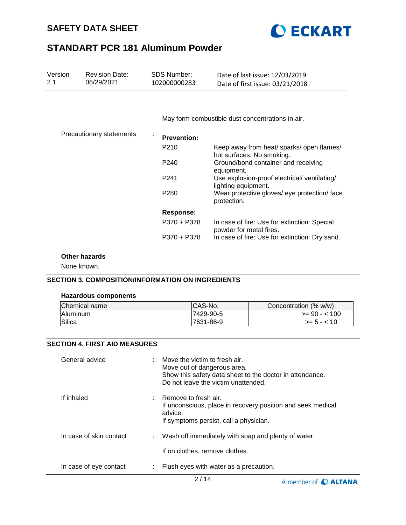



| Version<br>2.1 | <b>Revision Date:</b><br>06/29/2021 | <b>SDS Number:</b><br>102000000283 | Date of last issue: 12/03/2019<br>Date of first issue: 03/21/2018       |
|----------------|-------------------------------------|------------------------------------|-------------------------------------------------------------------------|
|                |                                     |                                    |                                                                         |
|                |                                     |                                    | May form combustible dust concentrations in air.                        |
|                | Precautionary statements            | <b>Prevention:</b>                 |                                                                         |
|                |                                     | P210                               | Keep away from heat/ sparks/ open flames/<br>hot surfaces. No smoking.  |
|                |                                     | P <sub>240</sub>                   | Ground/bond container and receiving<br>equipment.                       |
|                |                                     | P <sub>241</sub>                   | Use explosion-proof electrical/ventilating/<br>lighting equipment.      |
|                |                                     | P <sub>280</sub>                   | Wear protective gloves/ eye protection/ face<br>protection.             |
|                |                                     | <b>Response:</b>                   |                                                                         |
|                |                                     | P370 + P378                        | In case of fire: Use for extinction: Special<br>powder for metal fires. |
|                |                                     | P370 + P378                        | In case of fire: Use for extinction: Dry sand.                          |

## **Other hazards**

None known.

## **SECTION 3. COMPOSITION/INFORMATION ON INGREDIENTS**

#### **Hazardous components**

| Chemical name   | <b>ICAS-No.</b> | Concentration (% w/w) |
|-----------------|-----------------|-----------------------|
| <b>Aluminum</b> | 7429-90-5       | $>= 90 - 100$         |
| Silica          | 7631-86-9       | $>= 5 - < 10$         |

## **SECTION 4. FIRST AID MEASURES**

| General advice          |   | : Move the victim to fresh air.<br>Move out of dangerous area.<br>Show this safety data sheet to the doctor in attendance.<br>Do not leave the victim unattended. |
|-------------------------|---|-------------------------------------------------------------------------------------------------------------------------------------------------------------------|
| If inhaled              |   | $:$ Remove to fresh air.<br>If unconscious, place in recovery position and seek medical<br>advice.<br>If symptoms persist, call a physician.                      |
| In case of skin contact |   | : Wash off immediately with soap and plenty of water.                                                                                                             |
|                         |   | If on clothes, remove clothes.                                                                                                                                    |
| In case of eye contact  | ÷ | Flush eyes with water as a precaution.                                                                                                                            |

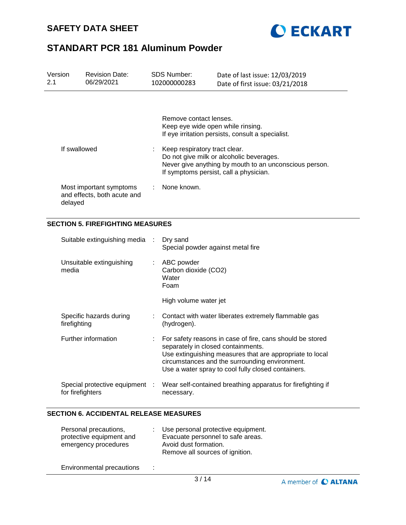



| Version<br>2.1 |                  | <b>Revision Date:</b><br>06/29/2021                    | SDS Number:<br>102000000283                                                                                                                                                   | Date of last issue: 12/03/2019<br>Date of first issue: 03/21/2018                                                                                                                                                             |  |
|----------------|------------------|--------------------------------------------------------|-------------------------------------------------------------------------------------------------------------------------------------------------------------------------------|-------------------------------------------------------------------------------------------------------------------------------------------------------------------------------------------------------------------------------|--|
|                |                  |                                                        | Remove contact lenses.<br>Keep eye wide open while rinsing.                                                                                                                   | If eye irritation persists, consult a specialist.                                                                                                                                                                             |  |
|                | If swallowed     |                                                        | Keep respiratory tract clear.<br>Do not give milk or alcoholic beverages.<br>Never give anything by mouth to an unconscious person.<br>If symptoms persist, call a physician. |                                                                                                                                                                                                                               |  |
|                | delayed          | Most important symptoms<br>and effects, both acute and | None known.                                                                                                                                                                   |                                                                                                                                                                                                                               |  |
|                |                  | <b>SECTION 5. FIREFIGHTING MEASURES</b>                |                                                                                                                                                                               |                                                                                                                                                                                                                               |  |
|                |                  | Suitable extinguishing media                           | Dry sand<br>Special powder against metal fire                                                                                                                                 |                                                                                                                                                                                                                               |  |
|                | media            | Unsuitable extinguishing                               | ABC powder<br>Carbon dioxide (CO2)<br>Water<br>Foam                                                                                                                           |                                                                                                                                                                                                                               |  |
|                |                  |                                                        | High volume water jet                                                                                                                                                         |                                                                                                                                                                                                                               |  |
|                | firefighting     | Specific hazards during                                | (hydrogen).                                                                                                                                                                   | Contact with water liberates extremely flammable gas                                                                                                                                                                          |  |
|                |                  | Further information                                    | separately in closed containments.                                                                                                                                            | For safety reasons in case of fire, cans should be stored<br>Use extinguishing measures that are appropriate to local<br>circumstances and the surrounding environment.<br>Use a water spray to cool fully closed containers. |  |
|                | for firefighters | Special protective equipment :                         | necessary.                                                                                                                                                                    | Wear self-contained breathing apparatus for firefighting if                                                                                                                                                                   |  |

## **SECTION 6. ACCIDENTAL RELEASE MEASURES**

| Personal precautions,<br>protective equipment and<br>emergency procedures | Use personal protective equipment.<br>Evacuate personnel to safe areas.<br>Avoid dust formation.<br>Remove all sources of ignition. |
|---------------------------------------------------------------------------|-------------------------------------------------------------------------------------------------------------------------------------|
| $\Gamma$ as decisions contains according $\sim$                           |                                                                                                                                     |

Environmental precautions :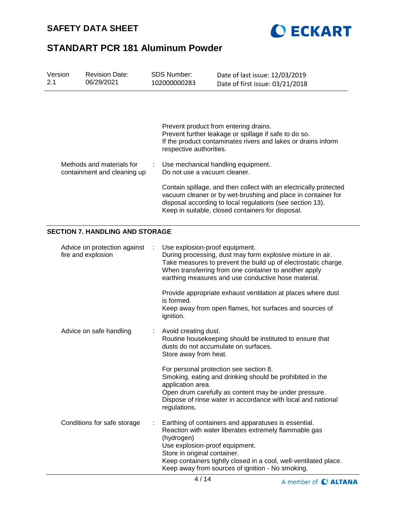



| Version<br>2.1 | <b>Revision Date:</b><br>06/29/2021                      |   | <b>SDS Number:</b><br>102000000283                                                                                                                                                                                                                                                                                    | Date of last issue: 12/03/2019<br>Date of first issue: 03/21/2018                                                                                                                                                                            |
|----------------|----------------------------------------------------------|---|-----------------------------------------------------------------------------------------------------------------------------------------------------------------------------------------------------------------------------------------------------------------------------------------------------------------------|----------------------------------------------------------------------------------------------------------------------------------------------------------------------------------------------------------------------------------------------|
|                |                                                          |   | respective authorities.                                                                                                                                                                                                                                                                                               | Prevent product from entering drains.<br>Prevent further leakage or spillage if safe to do so.<br>If the product contaminates rivers and lakes or drains inform                                                                              |
|                | Methods and materials for<br>containment and cleaning up |   | Do not use a vacuum cleaner.                                                                                                                                                                                                                                                                                          | Use mechanical handling equipment.                                                                                                                                                                                                           |
|                |                                                          |   | Contain spillage, and then collect with an electrically protected<br>vacuum cleaner or by wet-brushing and place in container for<br>disposal according to local regulations (see section 13).<br>Keep in suitable, closed containers for disposal.                                                                   |                                                                                                                                                                                                                                              |
|                | <b>SECTION 7. HANDLING AND STORAGE</b>                   |   |                                                                                                                                                                                                                                                                                                                       |                                                                                                                                                                                                                                              |
|                | Advice on protection against<br>fire and explosion       | ÷ | Use explosion-proof equipment.                                                                                                                                                                                                                                                                                        | During processing, dust may form explosive mixture in air.<br>Take measures to prevent the build up of electrostatic charge.<br>When transferring from one container to another apply<br>earthing measures and use conductive hose material. |
|                |                                                          |   | is formed.<br>ignition.                                                                                                                                                                                                                                                                                               | Provide appropriate exhaust ventilation at places where dust<br>Keep away from open flames, hot surfaces and sources of                                                                                                                      |
|                | Advice on safe handling                                  |   | Avoid creating dust.<br>Store away from heat.                                                                                                                                                                                                                                                                         | Routine housekeeping should be instituted to ensure that<br>dusts do not accumulate on surfaces.                                                                                                                                             |
|                |                                                          |   | application area.<br>regulations.                                                                                                                                                                                                                                                                                     | For personal protection see section 8.<br>Smoking, eating and drinking should be prohibited in the<br>Open drum carefully as content may be under pressure.<br>Dispose of rinse water in accordance with local and national                  |
|                | Conditions for safe storage                              |   | Earthing of containers and apparatuses is essential.<br>Reaction with water liberates extremely flammable gas<br>(hydrogen)<br>Use explosion-proof equipment.<br>Store in original container.<br>Keep containers tightly closed in a cool, well-ventilated place.<br>Keep away from sources of ignition - No smoking. |                                                                                                                                                                                                                                              |

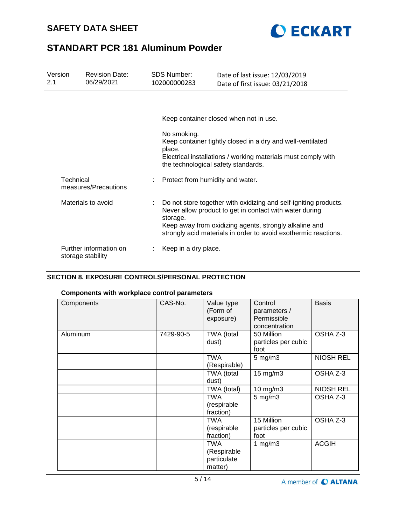



| Version<br>2.1 | <b>Revision Date:</b><br>06/29/2021         | <b>SDS Number:</b><br>102000000283 | Date of last issue: 12/03/2019<br>Date of first issue: 03/21/2018                                                                                                                                                                                        |
|----------------|---------------------------------------------|------------------------------------|----------------------------------------------------------------------------------------------------------------------------------------------------------------------------------------------------------------------------------------------------------|
|                |                                             |                                    |                                                                                                                                                                                                                                                          |
|                |                                             |                                    | Keep container closed when not in use.                                                                                                                                                                                                                   |
|                |                                             | No smoking.<br>place.              | Keep container tightly closed in a dry and well-ventilated<br>Electrical installations / working materials must comply with<br>the technological safety standards.                                                                                       |
|                | Technical<br>measures/Precautions           |                                    | Protect from humidity and water.                                                                                                                                                                                                                         |
|                | Materials to avoid                          | storage.                           | Do not store together with oxidizing and self-igniting products.<br>Never allow product to get in contact with water during<br>Keep away from oxidizing agents, strongly alkaline and<br>strongly acid materials in order to avoid exothermic reactions. |
|                | Further information on<br>storage stability | Keep in a dry place.               |                                                                                                                                                                                                                                                          |

## **SECTION 8. EXPOSURE CONTROLS/PERSONAL PROTECTION**

# **Components with workplace control parameters**

| Components | CAS-No.   | Value type<br>(Form of<br>exposure)          | Control<br>parameters /<br>Permissible<br>concentration | <b>Basis</b>     |
|------------|-----------|----------------------------------------------|---------------------------------------------------------|------------------|
| Aluminum   | 7429-90-5 | TWA (total<br>dust)                          | 50 Million<br>particles per cubic<br>foot               | OSHA Z-3         |
|            |           | <b>TWA</b><br>(Respirable)                   | $5$ mg/m $3$                                            | <b>NIOSH REL</b> |
|            |           | TWA (total<br>dust)                          | 15 mg/m3                                                | OSHA Z-3         |
|            |           | TWA (total)                                  | 10 mg/m3                                                | <b>NIOSH REL</b> |
|            |           | TWA<br>(respirable<br>fraction)              | $5$ mg/m $3$                                            | OSHA Z-3         |
|            |           | TWA<br>(respirable<br>fraction)              | 15 Million<br>particles per cubic<br>foot               | OSHA Z-3         |
|            |           | TWA<br>(Respirable<br>particulate<br>matter) | 1 mg/m $3$                                              | <b>ACGIH</b>     |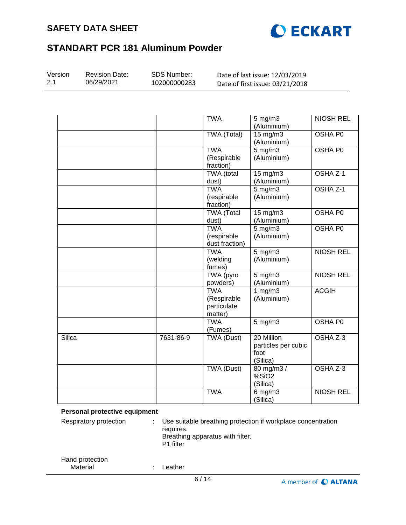



| Version<br>2.1 | <b>Revision Date:</b><br>06/29/2021 | SDS Number:<br>102000000283 |                                                     | Date of last issue: 12/03/2019<br>Date of first issue: 03/21/2018 |                     |
|----------------|-------------------------------------|-----------------------------|-----------------------------------------------------|-------------------------------------------------------------------|---------------------|
|                |                                     |                             |                                                     |                                                                   |                     |
|                |                                     |                             | <b>TWA</b>                                          | $5$ mg/m $3$<br>(Aluminium)                                       | NIOSH REL           |
|                |                                     |                             | <b>TWA (Total)</b>                                  | $15 \text{ mg/m}$<br>(Aluminium)                                  | <b>OSHA P0</b>      |
|                |                                     |                             | <b>TWA</b><br>(Respirable<br>fraction)              | $5 \text{ mg/m}$<br>(Aluminium)                                   | <b>OSHA P0</b>      |
|                |                                     |                             | <b>TWA</b> (total<br>dust)                          | $15 \text{ mg/m}$<br>(Aluminium)                                  | OSHA <sub>Z-1</sub> |
|                |                                     |                             | <b>TWA</b><br>(respirable<br>fraction)              | $5 \text{ mg/m}$<br>(Aluminium)                                   | OSHA Z-1            |
|                |                                     |                             | <b>TWA</b> (Total<br>dust)                          | 15 mg/m3<br>(Aluminium)                                           | OSHA P0             |
|                |                                     |                             | <b>TWA</b><br>(respirable<br>dust fraction)         | $5 \text{ mg/m}$<br>(Aluminium)                                   | <b>OSHA P0</b>      |
|                |                                     |                             | <b>TWA</b><br>(welding<br>fumes)                    | $5 \text{ mg/m}$<br>(Aluminium)                                   | <b>NIOSH REL</b>    |
|                |                                     |                             | <b>TWA</b> (pyro<br>powders)                        | $5 \text{ mg/m}$<br>(Aluminium)                                   | <b>NIOSH REL</b>    |
|                |                                     |                             | <b>TWA</b><br>(Respirable<br>particulate<br>matter) | 1 $mg/m3$<br>(Aluminium)                                          | <b>ACGIH</b>        |
|                |                                     |                             | <b>TWA</b><br>(Fumes)                               | $5 \text{ mg/m}$                                                  | OSHA P0             |
| Silica         |                                     | 7631-86-9                   | TWA (Dust)                                          | 20 Million<br>particles per cubic<br>foot<br>(Silica)             | OSHA Z-3            |
|                |                                     |                             | <b>TWA (Dust)</b>                                   | 80 mg/m3 /<br>%SiO <sub>2</sub><br>(Silica)                       | OSHA Z-3            |
|                |                                     |                             | <b>TWA</b>                                          | $6$ mg/m $3$<br>(Silica)                                          | <b>NIOSH REL</b>    |

## **Personal protective equipment**

| Respiratory protection      | Use suitable breathing protection if workplace concentration<br>requires.<br>Breathing apparatus with filter.<br>P1 filter |
|-----------------------------|----------------------------------------------------------------------------------------------------------------------------|
| Hand protection<br>Material | -eather                                                                                                                    |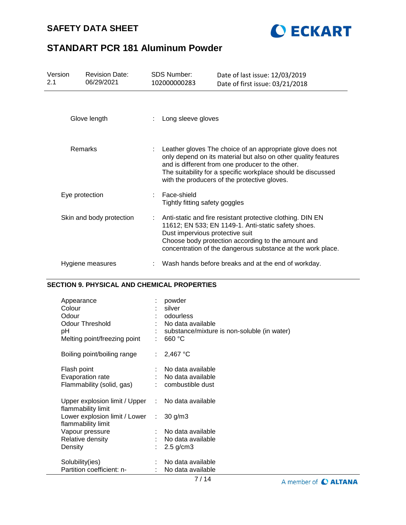# **SAFETY DATA SHEET**



# **STANDART PCR 181 Aluminum Powder**

| Version<br>2.1 | <b>Revision Date:</b><br>06/29/2021 | <b>SDS Number:</b><br>102000000283            | Date of last issue: 12/03/2019<br>Date of first issue: 03/21/2018                                                                                                                                                                                                                                  |
|----------------|-------------------------------------|-----------------------------------------------|----------------------------------------------------------------------------------------------------------------------------------------------------------------------------------------------------------------------------------------------------------------------------------------------------|
|                | Glove length                        | Long sleeve gloves                            |                                                                                                                                                                                                                                                                                                    |
|                | <b>Remarks</b>                      |                                               | : Leather gloves The choice of an appropriate glove does not<br>only depend on its material but also on other quality features<br>and is different from one producer to the other.<br>The suitability for a specific workplace should be discussed<br>with the producers of the protective gloves. |
|                | Eye protection                      | Face-shield<br>Tightly fitting safety goggles |                                                                                                                                                                                                                                                                                                    |
|                | Skin and body protection            |                                               | Anti-static and fire resistant protective clothing. DIN EN<br>11612; EN 533; EN 1149-1. Anti-static safety shoes.<br>Dust impervious protective suit<br>Choose body protection according to the amount and<br>concentration of the dangerous substance at the work place.                          |
|                | Hygiene measures                    |                                               | Wash hands before breaks and at the end of workday.                                                                                                                                                                                                                                                |

| Appearance<br>Colour<br>Odour<br>Odour Threshold<br>рH<br>Melting point/freezing point |                           | powder<br>silver<br>odourless<br>No data available<br>substance/mixture is non-soluble (in water)<br>660 °C |
|----------------------------------------------------------------------------------------|---------------------------|-------------------------------------------------------------------------------------------------------------|
| Boiling point/boiling range                                                            | $\mathbb{R}^{\mathbb{Z}}$ | $2,467$ °C                                                                                                  |
| Flash point<br>Evaporation rate<br>Flammability (solid, gas)                           |                           | No data available<br>No data available<br>combustible dust                                                  |
| Upper explosion limit / Upper<br>flammability limit                                    |                           | : No data available                                                                                         |
| Lower explosion limit / Lower<br>flammability limit                                    | ÷.                        | $30$ g/m $3$                                                                                                |
| Vapour pressure                                                                        |                           | No data available                                                                                           |
| Relative density                                                                       |                           | No data available                                                                                           |
| Density                                                                                |                           | $2.5$ g/cm $3$                                                                                              |
| Solubility(ies)                                                                        |                           | No data available                                                                                           |
| Partition coefficient: n-                                                              |                           | No data available                                                                                           |

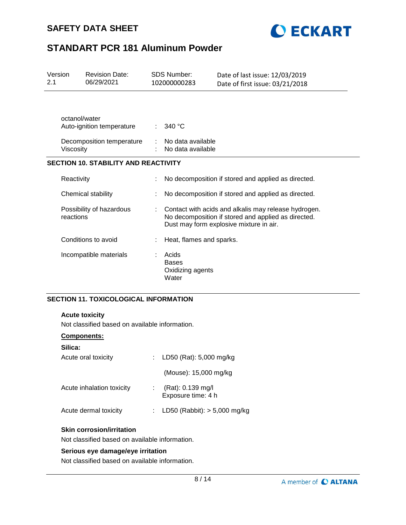



| Version<br>2.1 |               | <b>Revision Date:</b><br>06/29/2021         | <b>SDS Number:</b><br>102000000283                 | Date of last issue: 12/03/2019<br>Date of first issue: 03/21/2018                                                                                      |
|----------------|---------------|---------------------------------------------|----------------------------------------------------|--------------------------------------------------------------------------------------------------------------------------------------------------------|
|                | octanol/water | Auto-ignition temperature                   | 340 $\degree$ C                                    |                                                                                                                                                        |
|                | Viscosity     | Decomposition temperature                   | No data available<br>No data available             |                                                                                                                                                        |
|                |               | <b>SECTION 10. STABILITY AND REACTIVITY</b> |                                                    |                                                                                                                                                        |
|                | Reactivity    |                                             |                                                    | No decomposition if stored and applied as directed.                                                                                                    |
|                |               | Chemical stability                          |                                                    | No decomposition if stored and applied as directed.                                                                                                    |
|                | reactions     | Possibility of hazardous                    |                                                    | Contact with acids and alkalis may release hydrogen.<br>No decomposition if stored and applied as directed.<br>Dust may form explosive mixture in air. |
|                |               | Conditions to avoid                         | Heat, flames and sparks.                           |                                                                                                                                                        |
|                |               | Incompatible materials                      | Acids<br><b>Bases</b><br>Oxidizing agents<br>Water |                                                                                                                                                        |

## **SECTION 11. TOXICOLOGICAL INFORMATION**

#### **Acute toxicity**

Not classified based on available information.

#### **Components:**

| Silica:                   |                                         |
|---------------------------|-----------------------------------------|
| Acute oral toxicity       | : LD50 (Rat): $5,000$ mg/kg             |
|                           | (Mouse): 15,000 mg/kg                   |
| Acute inhalation toxicity | (Rat): 0.139 mg/l<br>Exposure time: 4 h |
| Acute dermal toxicity     | LD50 (Rabbit): $> 5,000$ mg/kg          |
|                           |                                         |

#### **Skin corrosion/irritation**

Not classified based on available information.

#### **Serious eye damage/eye irritation**

Not classified based on available information.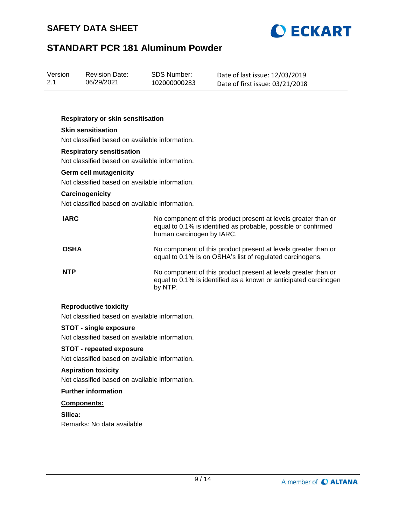



| Version | <b>Revision Date:</b> | SDS Number:  | Date of last issue: 12/03/2019  |
|---------|-----------------------|--------------|---------------------------------|
| 2.1     | 06/29/2021            | 102000000283 | Date of first issue: 03/21/2018 |

#### **Respiratory or skin sensitisation**

## **Skin sensitisation**

Not classified based on available information.

#### **Respiratory sensitisation**

Not classified based on available information.

#### **Germ cell mutagenicity**

Not classified based on available information.

#### **Carcinogenicity**

Not classified based on available information.

| <b>IARC</b> | No component of this product present at levels greater than or<br>equal to 0.1% is identified as probable, possible or confirmed<br>human carcinogen by IARC. |
|-------------|---------------------------------------------------------------------------------------------------------------------------------------------------------------|
| <b>OSHA</b> | No component of this product present at levels greater than or<br>equal to 0.1% is on OSHA's list of regulated carcinogens.                                   |
| <b>NTP</b>  | No component of this product present at levels greater than or<br>equal to 0.1% is identified as a known or anticipated carcinogen<br>by NTP.                 |

#### **Reproductive toxicity**

Not classified based on available information.

## **STOT - single exposure**

Not classified based on available information.

#### **STOT - repeated exposure**

Not classified based on available information.

#### **Aspiration toxicity**

Not classified based on available information.

## **Further information**

#### **Components:**

**Silica:** Remarks: No data available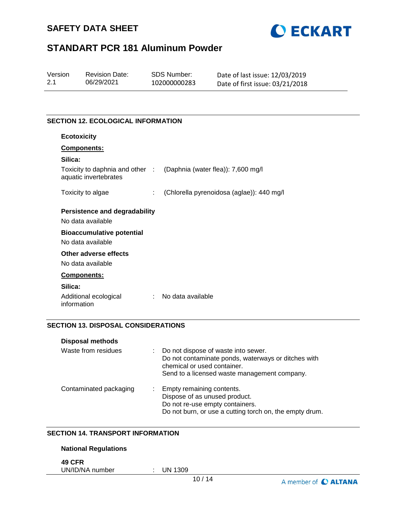



| Version | <b>Revision Date:</b> | SDS Number:  | Date of last issue: 12/03/2019  |
|---------|-----------------------|--------------|---------------------------------|
| 2.1     | 06/29/2021            | 102000000283 | Date of first issue: 03/21/2018 |

## **SECTION 12. ECOLOGICAL INFORMATION**

| <b>Ecotoxicity</b>                                       |                                           |
|----------------------------------------------------------|-------------------------------------------|
| Components:                                              |                                           |
| Silica:                                                  |                                           |
| Toxicity to daphnia and other :<br>aquatic invertebrates | (Daphnia (water flea)): 7,600 mg/l        |
| Toxicity to algae<br>t.                                  | (Chlorella pyrenoidosa (aglae)): 440 mg/l |
| Persistence and degradability                            |                                           |
| No data available                                        |                                           |
| <b>Bioaccumulative potential</b>                         |                                           |
| No data available                                        |                                           |
| Other adverse effects                                    |                                           |
| No data available                                        |                                           |
| <b>Components:</b>                                       |                                           |
| Silica:                                                  |                                           |
| Additional ecological<br>÷<br>information                | No data available                         |

# **SECTION 13. DISPOSAL CONSIDERATIONS**

| <b>Disposal methods</b> |                                                                                                                                                                           |
|-------------------------|---------------------------------------------------------------------------------------------------------------------------------------------------------------------------|
| Waste from residues     | Do not dispose of waste into sewer.<br>Do not contaminate ponds, waterways or ditches with<br>chemical or used container.<br>Send to a licensed waste management company. |
| Contaminated packaging  | Empty remaining contents.<br>Dispose of as unused product.<br>Do not re-use empty containers.<br>Do not burn, or use a cutting torch on, the empty drum.                  |

#### **SECTION 14. TRANSPORT INFORMATION**

## **National Regulations**

**49 CFR**

UN/ID/NA number : UN 1309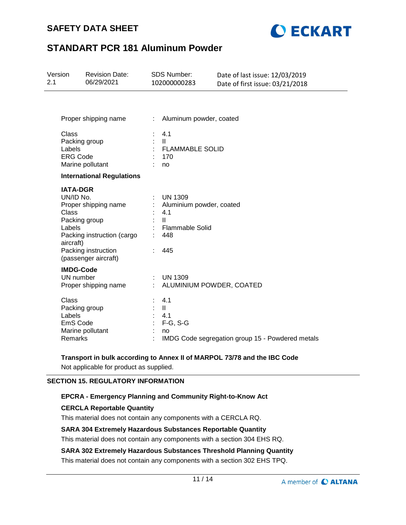# **SAFETY DATA SHEET**



# **STANDART PCR 181 Aluminum Powder**

| Version<br>2.1 |                                                                                      | <b>Revision Date:</b><br>06/29/2021                                                               |                  | SDS Number:<br>102000000283                                                                               | Date of last issue: 12/03/2019<br>Date of first issue: 03/21/2018 |
|----------------|--------------------------------------------------------------------------------------|---------------------------------------------------------------------------------------------------|------------------|-----------------------------------------------------------------------------------------------------------|-------------------------------------------------------------------|
|                |                                                                                      | Proper shipping name                                                                              | $\mathbb{R}^n$ . | Aluminum powder, coated                                                                                   |                                                                   |
|                | Class<br>Packing group<br>Labels<br><b>ERG Code</b>                                  | Marine pollutant                                                                                  |                  | 4.1<br>$\mathbf{H}$<br><b>FLAMMABLE SOLID</b><br>170<br>no                                                |                                                                   |
|                |                                                                                      | <b>International Regulations</b>                                                                  |                  |                                                                                                           |                                                                   |
|                | <b>IATA-DGR</b><br>UN/ID No.<br><b>Class</b><br>Packing group<br>Labels<br>aircraft) | Proper shipping name<br>Packing instruction (cargo<br>Packing instruction<br>(passenger aircraft) |                  | <b>UN 1309</b><br>Aluminium powder, coated<br>4.1<br>$\mathbf{H}$<br><b>Flammable Solid</b><br>448<br>445 |                                                                   |
|                | <b>IMDG-Code</b><br>UN number                                                        | Proper shipping name                                                                              |                  | <b>UN 1309</b><br>ALUMINIUM POWDER, COATED                                                                |                                                                   |
|                | Class<br>Packing group<br>Labels<br>EmS Code<br>Remarks                              | Marine pollutant                                                                                  |                  | 4.1<br>$\mathbf{II}$<br>4.1<br>$F-G, S-G$<br>no                                                           | IMDG Code segregation group 15 - Powdered metals                  |

## **Transport in bulk according to Annex II of MARPOL 73/78 and the IBC Code**

Not applicable for product as supplied.

## **SECTION 15. REGULATORY INFORMATION**

# **EPCRA - Emergency Planning and Community Right-to-Know Act**

## **CERCLA Reportable Quantity**

This material does not contain any components with a CERCLA RQ.

#### **SARA 304 Extremely Hazardous Substances Reportable Quantity**

This material does not contain any components with a section 304 EHS RQ.

## **SARA 302 Extremely Hazardous Substances Threshold Planning Quantity**

This material does not contain any components with a section 302 EHS TPQ.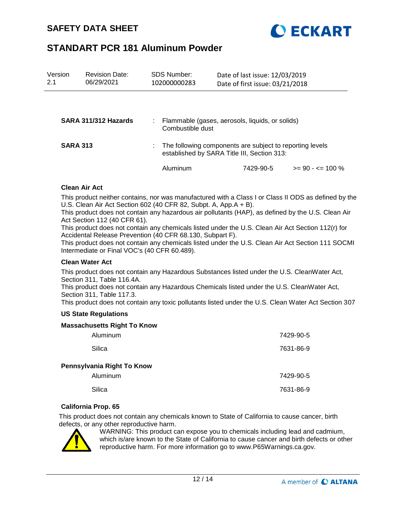

| Version<br>2.1  | <b>Revision Date:</b><br>06/29/2021 | SDS Number:<br>102000000283 | Date of last issue: 12/03/2019<br>Date of first issue: 03/21/2018                                       |                      |
|-----------------|-------------------------------------|-----------------------------|---------------------------------------------------------------------------------------------------------|----------------------|
|                 |                                     |                             |                                                                                                         |                      |
|                 | SARA 311/312 Hazards                | Combustible dust            | Flammable (gases, aerosols, liquids, or solids)                                                         |                      |
| <b>SARA 313</b> |                                     |                             | The following components are subject to reporting levels<br>established by SARA Title III, Section 313: |                      |
|                 |                                     | Aluminum                    | 7429-90-5                                                                                               | $>= 90 - 5 = 100 \%$ |

#### **Clean Air Act**

This product neither contains, nor was manufactured with a Class I or Class II ODS as defined by the U.S. Clean Air Act Section 602 (40 CFR 82, Subpt. A, App.A + B).

This product does not contain any hazardous air pollutants (HAP), as defined by the U.S. Clean Air Act Section 112 (40 CFR 61).

This product does not contain any chemicals listed under the U.S. Clean Air Act Section 112(r) for Accidental Release Prevention (40 CFR 68.130, Subpart F).

This product does not contain any chemicals listed under the U.S. Clean Air Act Section 111 SOCMI Intermediate or Final VOC's (40 CFR 60.489).

#### **Clean Water Act**

This product does not contain any Hazardous Substances listed under the U.S. CleanWater Act, Section 311, Table 116.4A.

This product does not contain any Hazardous Chemicals listed under the U.S. CleanWater Act, Section 311, Table 117.3.

This product does not contain any toxic pollutants listed under the U.S. Clean Water Act Section 307

#### **US State Regulations**

#### **Massachusetts Right To Know**

| Aluminum                   | 7429-90-5 |
|----------------------------|-----------|
| Silica                     | 7631-86-9 |
| Pennsylvania Right To Know |           |
| Aluminum                   | 7429-90-5 |
| Silica                     | 7631-86-9 |

#### **California Prop. 65**

This product does not contain any chemicals known to State of California to cause cancer, birth defects, or any other reproductive harm.



WARNING: This product can expose you to chemicals including lead and cadmium, which is/are known to the State of California to cause cancer and birth defects or other reproductive harm. For more information go to www.P65Warnings.ca.gov.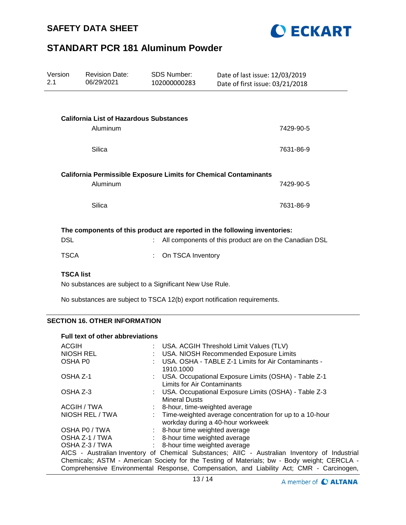



| Version<br>2.1   | <b>Revision Date:</b><br>06/29/2021            | <b>SDS Number:</b><br>102000000283                                      | Date of last issue: 12/03/2019<br>Date of first issue: 03/21/2018         |  |
|------------------|------------------------------------------------|-------------------------------------------------------------------------|---------------------------------------------------------------------------|--|
|                  |                                                |                                                                         |                                                                           |  |
|                  | <b>California List of Hazardous Substances</b> |                                                                         |                                                                           |  |
|                  | Aluminum                                       |                                                                         | 7429-90-5                                                                 |  |
|                  |                                                |                                                                         |                                                                           |  |
|                  | Silica                                         |                                                                         | 7631-86-9                                                                 |  |
|                  |                                                |                                                                         |                                                                           |  |
|                  |                                                | <b>California Permissible Exposure Limits for Chemical Contaminants</b> |                                                                           |  |
|                  | Aluminum                                       |                                                                         | 7429-90-5                                                                 |  |
|                  | Silica                                         |                                                                         | 7631-86-9                                                                 |  |
|                  |                                                |                                                                         |                                                                           |  |
|                  |                                                |                                                                         | The components of this product are reported in the following inventories: |  |
| <b>DSL</b>       |                                                | ÷.                                                                      | All components of this product are on the Canadian DSL                    |  |
|                  |                                                |                                                                         |                                                                           |  |
| <b>TSCA</b>      |                                                | On TSCA Inventory                                                       |                                                                           |  |
| <b>TSCA list</b> |                                                |                                                                         |                                                                           |  |

No substances are subject to a Significant New Use Rule.

No substances are subject to TSCA 12(b) export notification requirements.

## **SECTION 16. OTHER INFORMATION**

#### **Full text of other abbreviations**

| <b>ACGIH</b>                                                                                  |  | : USA. ACGIH Threshold Limit Values (TLV)                                                      |  |  |  |
|-----------------------------------------------------------------------------------------------|--|------------------------------------------------------------------------------------------------|--|--|--|
| <b>NIOSH REL</b>                                                                              |  | : USA. NIOSH Recommended Exposure Limits                                                       |  |  |  |
| OSHA P <sub>0</sub>                                                                           |  | USA. OSHA - TABLE Z-1 Limits for Air Contaminants -<br>1910.1000                               |  |  |  |
| OSHA Z-1                                                                                      |  | : USA. Occupational Exposure Limits (OSHA) - Table Z-1<br>Limits for Air Contaminants          |  |  |  |
| OSHA Z-3                                                                                      |  | : USA. Occupational Exposure Limits (OSHA) - Table Z-3<br><b>Mineral Dusts</b>                 |  |  |  |
| ACGIH / TWA                                                                                   |  | : 8-hour, time-weighted average                                                                |  |  |  |
| NIOSH REL / TWA                                                                               |  | : Time-weighted average concentration for up to a 10-hour<br>workday during a 40-hour workweek |  |  |  |
| OSHA P0 / TWA                                                                                 |  | : 8-hour time weighted average                                                                 |  |  |  |
| OSHA Z-1 / TWA                                                                                |  | : 8-hour time weighted average                                                                 |  |  |  |
| OSHA Z-3 / TWA                                                                                |  | : 8-hour time weighted average                                                                 |  |  |  |
| AICS - Australian Inventory of Chemical Substances; AIIC - Australian Inventory of Industrial |  |                                                                                                |  |  |  |
| Chemicals; ASTM - American Society for the Testing of Materials; bw - Body weight; CERCLA -   |  |                                                                                                |  |  |  |
| Comprehensive Environmental Response, Compensation, and Liability Act; CMR - Carcinogen,      |  |                                                                                                |  |  |  |